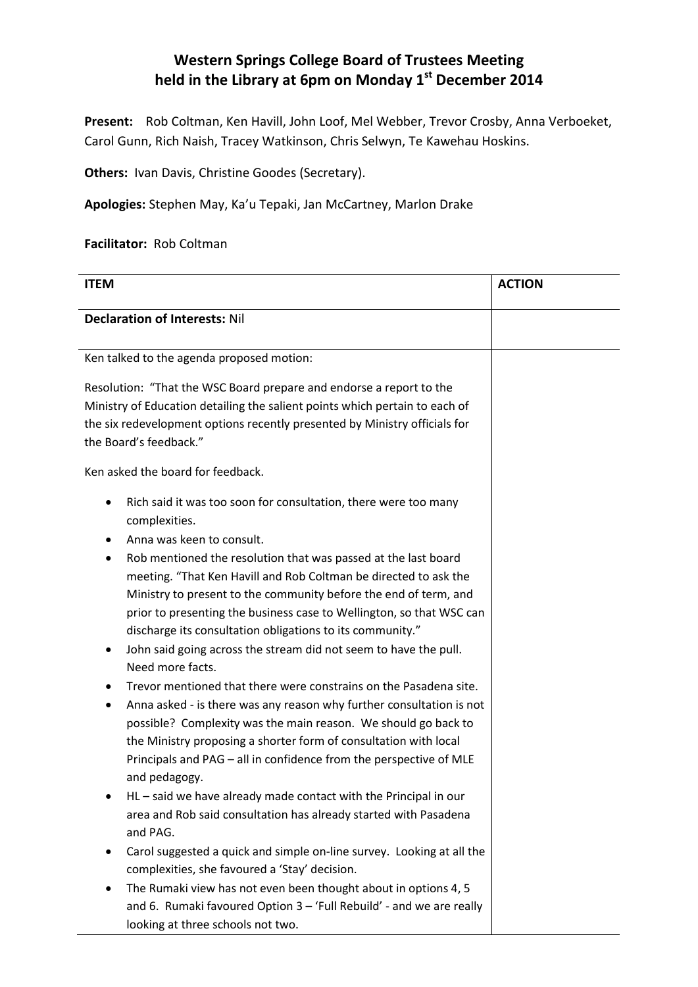## **Western Springs College Board of Trustees Meeting held in the Library at 6pm on Monday 1st December 2014**

**Present:** Rob Coltman, Ken Havill, John Loof, Mel Webber, Trevor Crosby, Anna Verboeket, Carol Gunn, Rich Naish, Tracey Watkinson, Chris Selwyn, Te Kawehau Hoskins.

**Others: Ivan Davis, Christine Goodes (Secretary).** 

**Apologies:** Stephen May, Ka'u Tepaki, Jan McCartney, Marlon Drake

## **Facilitator:** Rob Coltman

| <b>ITEM</b>                                                                                                                                                                                                                                                                                                                                                                                                                                                                                                                                                                                                                                                                                                                                                                                                                                                                                                                            | <b>ACTION</b> |
|----------------------------------------------------------------------------------------------------------------------------------------------------------------------------------------------------------------------------------------------------------------------------------------------------------------------------------------------------------------------------------------------------------------------------------------------------------------------------------------------------------------------------------------------------------------------------------------------------------------------------------------------------------------------------------------------------------------------------------------------------------------------------------------------------------------------------------------------------------------------------------------------------------------------------------------|---------------|
| <b>Declaration of Interests: Nil</b>                                                                                                                                                                                                                                                                                                                                                                                                                                                                                                                                                                                                                                                                                                                                                                                                                                                                                                   |               |
| Ken talked to the agenda proposed motion:                                                                                                                                                                                                                                                                                                                                                                                                                                                                                                                                                                                                                                                                                                                                                                                                                                                                                              |               |
| Resolution: "That the WSC Board prepare and endorse a report to the<br>Ministry of Education detailing the salient points which pertain to each of<br>the six redevelopment options recently presented by Ministry officials for<br>the Board's feedback."                                                                                                                                                                                                                                                                                                                                                                                                                                                                                                                                                                                                                                                                             |               |
| Ken asked the board for feedback.                                                                                                                                                                                                                                                                                                                                                                                                                                                                                                                                                                                                                                                                                                                                                                                                                                                                                                      |               |
| Rich said it was too soon for consultation, there were too many<br>٠<br>complexities.<br>Anna was keen to consult.<br>Rob mentioned the resolution that was passed at the last board<br>٠<br>meeting. "That Ken Havill and Rob Coltman be directed to ask the<br>Ministry to present to the community before the end of term, and<br>prior to presenting the business case to Wellington, so that WSC can<br>discharge its consultation obligations to its community."<br>John said going across the stream did not seem to have the pull.<br>٠<br>Need more facts.<br>Trevor mentioned that there were constrains on the Pasadena site.<br>٠<br>Anna asked - is there was any reason why further consultation is not<br>٠<br>possible? Complexity was the main reason. We should go back to<br>the Ministry proposing a shorter form of consultation with local<br>Principals and PAG - all in confidence from the perspective of MLE |               |
| and pedagogy.<br>HL - said we have already made contact with the Principal in our<br>area and Rob said consultation has already started with Pasadena<br>and PAG.                                                                                                                                                                                                                                                                                                                                                                                                                                                                                                                                                                                                                                                                                                                                                                      |               |
| Carol suggested a quick and simple on-line survey. Looking at all the<br>٠<br>complexities, she favoured a 'Stay' decision.<br>The Rumaki view has not even been thought about in options 4, 5                                                                                                                                                                                                                                                                                                                                                                                                                                                                                                                                                                                                                                                                                                                                         |               |
| and 6. Rumaki favoured Option 3 - 'Full Rebuild' - and we are really<br>looking at three schools not two.                                                                                                                                                                                                                                                                                                                                                                                                                                                                                                                                                                                                                                                                                                                                                                                                                              |               |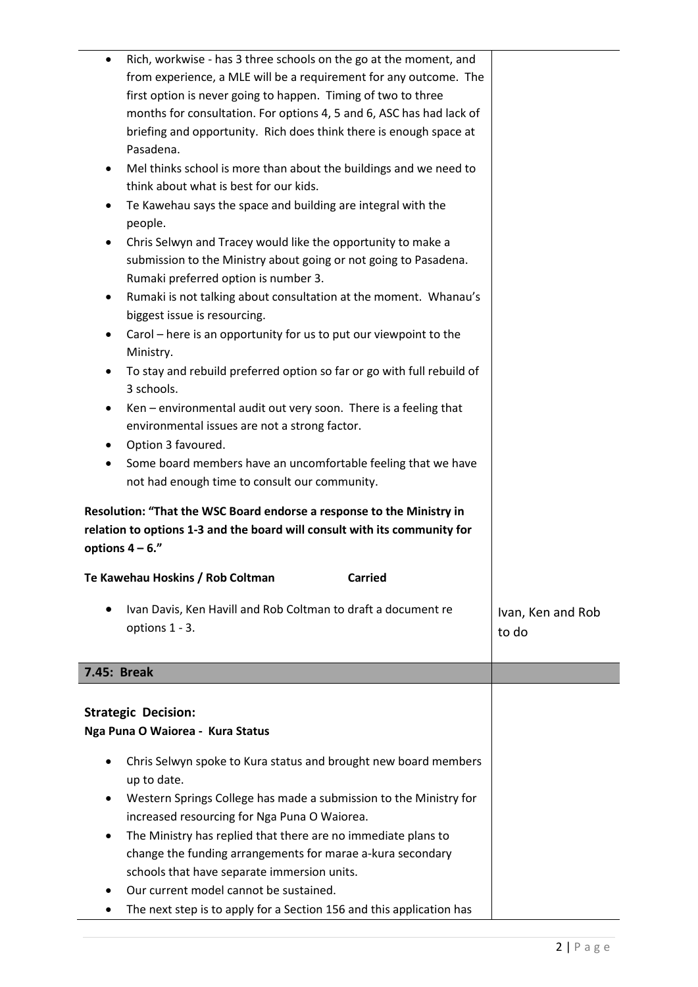|                    | Rich, workwise - has 3 three schools on the go at the moment, and         |                   |
|--------------------|---------------------------------------------------------------------------|-------------------|
|                    | from experience, a MLE will be a requirement for any outcome. The         |                   |
|                    | first option is never going to happen. Timing of two to three             |                   |
|                    | months for consultation. For options 4, 5 and 6, ASC has had lack of      |                   |
|                    | briefing and opportunity. Rich does think there is enough space at        |                   |
|                    | Pasadena.                                                                 |                   |
| $\bullet$          | Mel thinks school is more than about the buildings and we need to         |                   |
|                    | think about what is best for our kids.                                    |                   |
| $\bullet$          | Te Kawehau says the space and building are integral with the              |                   |
|                    | people.                                                                   |                   |
| $\bullet$          | Chris Selwyn and Tracey would like the opportunity to make a              |                   |
|                    | submission to the Ministry about going or not going to Pasadena.          |                   |
|                    | Rumaki preferred option is number 3.                                      |                   |
| $\bullet$          | Rumaki is not talking about consultation at the moment. Whanau's          |                   |
|                    | biggest issue is resourcing.                                              |                   |
| $\bullet$          | Carol – here is an opportunity for us to put our viewpoint to the         |                   |
|                    | Ministry.                                                                 |                   |
| $\bullet$          | To stay and rebuild preferred option so far or go with full rebuild of    |                   |
|                    | 3 schools.                                                                |                   |
| $\bullet$          | Ken - environmental audit out very soon. There is a feeling that          |                   |
|                    | environmental issues are not a strong factor.                             |                   |
| ٠                  | Option 3 favoured.                                                        |                   |
| $\bullet$          | Some board members have an uncomfortable feeling that we have             |                   |
|                    | not had enough time to consult our community.                             |                   |
|                    | Resolution: "That the WSC Board endorse a response to the Ministry in     |                   |
|                    | relation to options 1-3 and the board will consult with its community for |                   |
|                    | options $4 - 6$ ."                                                        |                   |
|                    | Te Kawehau Hoskins / Rob Coltman<br><b>Carried</b>                        |                   |
|                    |                                                                           |                   |
|                    | Ivan Davis, Ken Havill and Rob Coltman to draft a document re             | Ivan, Ken and Rob |
|                    | options 1 - 3.                                                            | to do             |
|                    |                                                                           |                   |
| <b>7.45: Break</b> |                                                                           |                   |
|                    |                                                                           |                   |
|                    | <b>Strategic Decision:</b>                                                |                   |
|                    | Nga Puna O Waiorea - Kura Status                                          |                   |
|                    |                                                                           |                   |
| $\bullet$          | Chris Selwyn spoke to Kura status and brought new board members           |                   |
|                    | up to date.                                                               |                   |
| ٠                  | Western Springs College has made a submission to the Ministry for         |                   |
|                    | increased resourcing for Nga Puna O Waiorea.                              |                   |
| $\bullet$          | The Ministry has replied that there are no immediate plans to             |                   |
|                    | change the funding arrangements for marae a-kura secondary                |                   |
|                    | schools that have separate immersion units.                               |                   |
|                    | Our current model cannot be sustained.                                    |                   |
|                    | The next step is to apply for a Section 156 and this application has      |                   |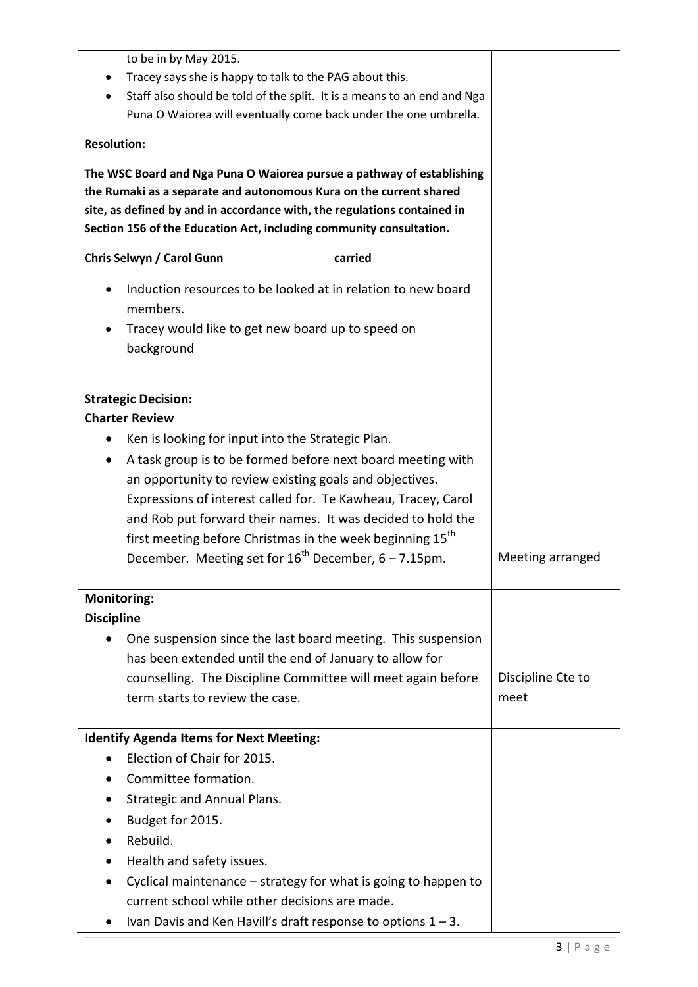to be in by May 2015. **•** Tracey says she is happy to talk to the PAG about this. Staff also should be told of the split. It is a means to an end and Nga Puna O Waiorea will eventually come back under the one umbrella. **Resolution: The WSC Board and Nga Puna O Waiorea pursue a pathway of establishing the Rumaki as a separate and autonomous Kura on the current shared site, as defined by and in accordance with, the regulations contained in Section 156 of the Education Act, including community consultation. Chris Selwyn / Carol Gunn carried** • Induction resources to be looked at in relation to new board members. Tracey would like to get new board up to speed on background **Strategic Decision: Charter Review** • Ken is looking for input into the Strategic Plan. A task group is to be formed before next board meeting with an opportunity to review existing goals and objectives. Expressions of interest called for. Te Kawheau, Tracey, Carol and Rob put forward their names. It was decided to hold the first meeting before Christmas in the week beginning  $15<sup>th</sup>$ December. Meeting set for  $16^{th}$  December, 6 – 7.15pm. Meeting arranged **Monitoring: Discipline** One suspension since the last board meeting. This suspension has been extended until the end of January to allow for counselling. The Discipline Committee will meet again before term starts to review the case. Discipline Cte to meet **Identify Agenda Items for Next Meeting:** • Election of Chair for 2015. Committee formation. • Strategic and Annual Plans. Budget for 2015. • Rebuild. • Health and safety issues. Cyclical maintenance – strategy for what is going to happen to current school while other decisions are made.

Ivan Davis and Ken Havill's draft response to options  $1 - 3$ .